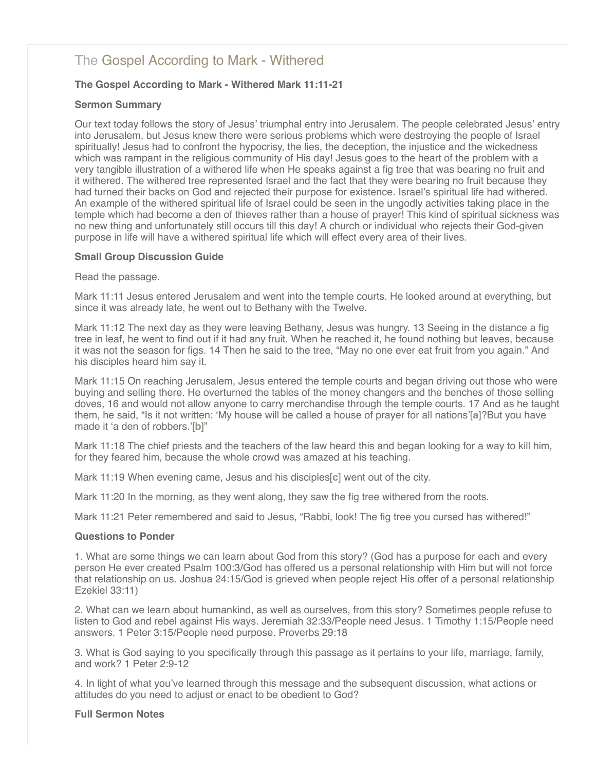# [The Gospel According to Mark - Withered](http://northshorechurch.net/resources/sermons/sermon-notes/454-the-gospel-according-to-mark-whithered)

# **The Gospel According to Mark - Withered Mark 11:11-21**

## **Sermon Summary**

Our text today follows the story of Jesus' triumphal entry into Jerusalem. The people celebrated Jesus' entry into Jerusalem, but Jesus knew there were serious problems which were destroying the people of Israel spiritually! Jesus had to confront the hypocrisy, the lies, the deception, the injustice and the wickedness which was rampant in the religious community of His day! Jesus goes to the heart of the problem with a very tangible illustration of a withered life when He speaks against a fig tree that was bearing no fruit and it withered. The withered tree represented Israel and the fact that they were bearing no fruit because they had turned their backs on God and rejected their purpose for existence. Israel's spiritual life had withered. An example of the withered spiritual life of Israel could be seen in the ungodly activities taking place in the temple which had become a den of thieves rather than a house of prayer! This kind of spiritual sickness was no new thing and unfortunately still occurs till this day! A church or individual who rejects their God-given purpose in life will have a withered spiritual life which will effect every area of their lives.

## **Small Group Discussion Guide**

Read the passage.

Mark 11:11 Jesus entered Jerusalem and went into the temple courts. He looked around at everything, but since it was already late, he went out to Bethany with the Twelve.

Mark 11:12 The next day as they were leaving Bethany, Jesus was hungry. 13 Seeing in the distance a fig tree in leaf, he went to find out if it had any fruit. When he reached it, he found nothing but leaves, because it was not the season for figs. 14 Then he said to the tree, "May no one ever eat fruit from you again." And his disciples heard him say it.

Mark 11:15 On reaching Jerusalem, Jesus entered the temple courts and began driving out those who were buying and selling there. He overturned the tables of the money changers and the benches of those selling doves, 16 and would not allow anyone to carry merchandise through the temple courts. 17 And as he taught them, he said, "Is it not written: 'My house will be called a house of prayer for all nations'[**[a](https://www.biblegateway.com/passage/?search=Mark+11%3A11-21&version=NIV#fen-NIV-24658a)**]?But you have made it 'a den of robbers.'[**[b](https://www.biblegateway.com/passage/?search=Mark+11%3A11-21&version=NIV#fen-NIV-24658b)**]"

Mark 11:18 The chief priests and the teachers of the law heard this and began looking for a way to kill him, for they feared him, because the whole crowd was amazed at his teaching.

Mark 11:19 When evening came, Jesus and his disciples[**[c](https://www.biblegateway.com/passage/?search=Mark+11%3A11-21&version=NIV#fen-NIV-24660c)**] went out of the city.

Mark 11:20 In the morning, as they went along, they saw the fig tree withered from the roots.

Mark 11:21 Peter remembered and said to Jesus, "Rabbi, look! The fig tree you cursed has withered!"

## **Questions to Ponder**

1. What are some things we can learn about God from this story? (God has a purpose for each and every person He ever created Psalm 100:3/God has offered us a personal relationship with Him but will not force that relationship on us. Joshua 24:15/God is grieved when people reject His offer of a personal relationship Ezekiel 33:11)

2. What can we learn about humankind, as well as ourselves, from this story? Sometimes people refuse to listen to God and rebel against His ways. Jeremiah 32:33/People need Jesus. 1 Timothy 1:15/People need answers. 1 Peter 3:15/People need purpose. Proverbs 29:18

3. What is God saying to you specifically through this passage as it pertains to your life, marriage, family, and work? 1 Peter 2:9-12

4. In light of what you've learned through this message and the subsequent discussion, what actions or attitudes do you need to adjust or enact to be obedient to God?

## **Full Sermon Notes**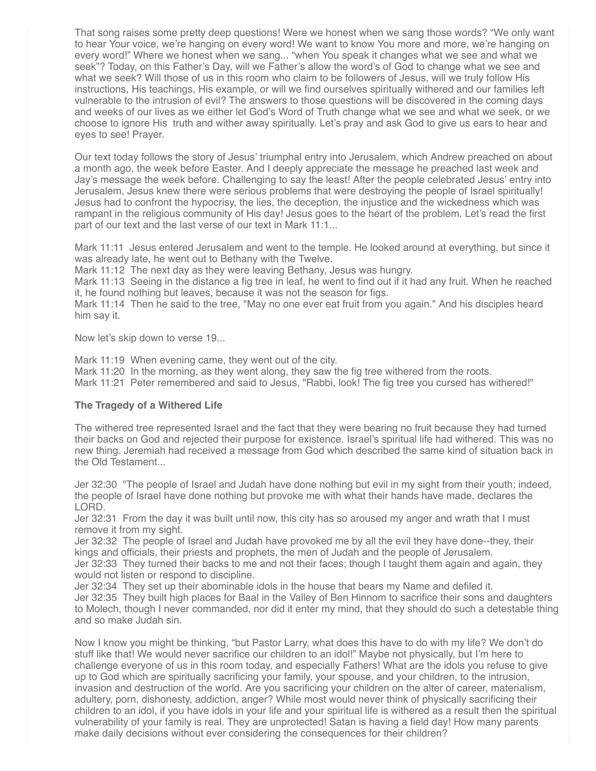That song raises some pretty deep questions! Were we honest when we sang those words? "We only want to hear Your voice, we're hanging on every word! We want to know You more and more, we're hanging on every word!" Where we honest when we sang... "when You speak it changes what we see and what we seek"? Today, on this Father's Day, will we Father's allow the word's of God to change what we see and what we seek? Will those of us in this room who claim to be followers of Jesus, will we truly follow His instructions, His teachings, His example, or will we find ourselves spiritually withered and our families left vulnerable to the intrusion of evil? The answers to those questions will be discovered in the coming days and weeks of our lives as we either let God's Word of Truth change what we see and what we seek, or we choose to ignore His truth and wither away spiritually. Let's pray and ask God to give us ears to hear and eyes to see! Prayer.

Our text today follows the story of Jesus' triumphal entry into Jerusalem, which Andrew preached on about a month ago, the week before Easter. And I deeply appreciate the message he preached last week and Jay's message the week before. Challenging to say the least! After the people celebrated Jesus' entry into Jerusalem, Jesus knew there were serious problems that were destroying the people of Israel spiritually! Jesus had to confront the hypocrisy, the lies, the deception, the injustice and the wickedness which was rampant in the religious community of His day! Jesus goes to the heart of the problem. Let's read the first part of our text and the last verse of our text in Mark 11:1...

Mark 11:11 Jesus entered Jerusalem and went to the temple. He looked around at everything, but since it was already late, he went out to Bethany with the Twelve.

Mark 11:12 The next day as they were leaving Bethany, Jesus was hungry.

Mark 11:13 Seeing in the distance a fig tree in leaf, he went to find out if it had any fruit. When he reached it, he found nothing but leaves, because it was not the season for figs.

Mark 11:14 Then he said to the tree, "May no one ever eat fruit from you again." And his disciples heard him say it.

Now let's skip down to verse 19...

Mark 11:19 When evening came, they went out of the city.

Mark 11:20 In the morning, as they went along, they saw the fig tree withered from the roots.

Mark 11:21 Peter remembered and said to Jesus, "Rabbi, look! The fig tree you cursed has withered!"

## **The Tragedy of a Withered Life**

The withered tree represented Israel and the fact that they were bearing no fruit because they had turned their backs on God and rejected their purpose for existence. Israel's spiritual life had withered. This was no new thing. Jeremiah had received a message from God which described the same kind of situation back in the Old Testament...

Jer 32:30 "The people of Israel and Judah have done nothing but evil in my sight from their youth; indeed, the people of Israel have done nothing but provoke me with what their hands have made, declares the LORD.

Jer 32:31 From the day it was built until now, this city has so aroused my anger and wrath that I must remove it from my sight.

Jer 32:32 The people of Israel and Judah have provoked me by all the evil they have done--they, their kings and officials, their priests and prophets, the men of Judah and the people of Jerusalem.

Jer 32:33 They turned their backs to me and not their faces; though I taught them again and again, they would not listen or respond to discipline.

Jer 32:34 They set up their abominable idols in the house that bears my Name and defiled it.

Jer 32:35 They built high places for Baal in the Valley of Ben Hinnom to sacrifice their sons and daughters to Molech, though I never commanded, nor did it enter my mind, that they should do such a detestable thing and so make Judah sin.

Now I know you might be thinking, "but Pastor Larry, what does this have to do with my life? We don't do stuff like that! We would never sacrifice our children to an idol!" Maybe not physically, but I'm here to challenge everyone of us in this room today, and especially Fathers! What are the idols you refuse to give up to God which are spiritually sacrificing your family, your spouse, and your children, to the intrusion, invasion and destruction of the world. Are you sacrificing your children on the alter of career, materialism, adultery, porn, dishonesty, addiction, anger? While most would never think of physically sacrificing their children to an idol, if you have idols in your life and your spiritual life is withered as a result then the spiritual vulnerability of your family is real. They are unprotected! Satan is having a field day! How many parents make daily decisions without ever considering the consequences for their children?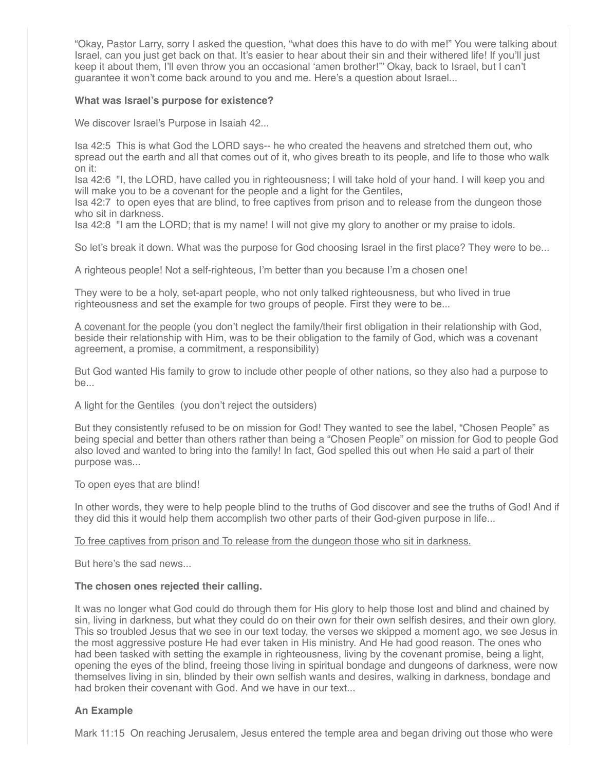"Okay, Pastor Larry, sorry I asked the question, "what does this have to do with me!" You were talking about Israel, can you just get back on that. It's easier to hear about their sin and their withered life! If you'll just keep it about them, I'll even throw you an occasional 'amen brother!'" Okay, back to Israel, but I can't guarantee it won't come back around to you and me. Here's a question about Israel...

## **What was Israel's purpose for existence?**

We discover Israel's Purpose in Isaiah 42...

Isa 42:5 This is what God the LORD says-- he who created the heavens and stretched them out, who spread out the earth and all that comes out of it, who gives breath to its people, and life to those who walk on it:

Isa 42:6 "I, the LORD, have called you in righteousness; I will take hold of your hand. I will keep you and will make you to be a covenant for the people and a light for the Gentiles,

Isa 42:7 to open eyes that are blind, to free captives from prison and to release from the dungeon those who sit in darkness.

Isa 42:8 "I am the LORD; that is my name! I will not give my glory to another or my praise to idols.

So let's break it down. What was the purpose for God choosing Israel in the first place? They were to be...

A righteous people! Not a self-righteous, I'm better than you because I'm a chosen one!

They were to be a holy, set-apart people, who not only talked righteousness, but who lived in true righteousness and set the example for two groups of people. First they were to be...

A covenant for the people (you don't neglect the family/their first obligation in their relationship with God, beside their relationship with Him, was to be their obligation to the family of God, which was a covenant agreement, a promise, a commitment, a responsibility)

But God wanted His family to grow to include other people of other nations, so they also had a purpose to be...

## A light for the Gentiles (you don't reject the outsiders)

But they consistently refused to be on mission for God! They wanted to see the label, "Chosen People" as being special and better than others rather than being a "Chosen People" on mission for God to people God also loved and wanted to bring into the family! In fact, God spelled this out when He said a part of their purpose was...

#### To open eyes that are blind!

In other words, they were to help people blind to the truths of God discover and see the truths of God! And if they did this it would help them accomplish two other parts of their God-given purpose in life...

To free captives from prison and To release from the dungeon those who sit in darkness.

But here's the sad news...

## **The chosen ones rejected their calling.**

It was no longer what God could do through them for His glory to help those lost and blind and chained by sin, living in darkness, but what they could do on their own for their own selfish desires, and their own glory. This so troubled Jesus that we see in our text today, the verses we skipped a moment ago, we see Jesus in the most aggressive posture He had ever taken in His ministry. And He had good reason. The ones who had been tasked with setting the example in righteousness, living by the covenant promise, being a light, opening the eyes of the blind, freeing those living in spiritual bondage and dungeons of darkness, were now themselves living in sin, blinded by their own selfish wants and desires, walking in darkness, bondage and had broken their covenant with God. And we have in our text...

## **An Example**

Mark 11:15 On reaching Jerusalem, Jesus entered the temple area and began driving out those who were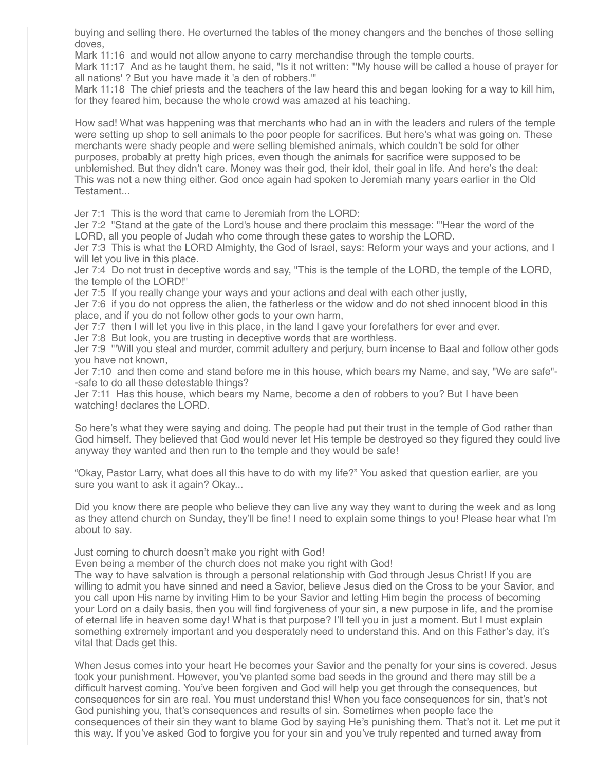buying and selling there. He overturned the tables of the money changers and the benches of those selling doves,

Mark 11:16 and would not allow anyone to carry merchandise through the temple courts.

Mark 11:17 And as he taught them, he said, "Is it not written: "'My house will be called a house of prayer for all nations' ? But you have made it 'a den of robbers.'"

Mark 11:18 The chief priests and the teachers of the law heard this and began looking for a way to kill him, for they feared him, because the whole crowd was amazed at his teaching.

How sad! What was happening was that merchants who had an in with the leaders and rulers of the temple were setting up shop to sell animals to the poor people for sacrifices. But here's what was going on. These merchants were shady people and were selling blemished animals, which couldn't be sold for other purposes, probably at pretty high prices, even though the animals for sacrifice were supposed to be unblemished. But they didn't care. Money was their god, their idol, their goal in life. And here's the deal: This was not a new thing either. God once again had spoken to Jeremiah many years earlier in the Old **Testament** 

Jer 7:1 This is the word that came to Jeremiah from the LORD:

Jer 7:2 "Stand at the gate of the Lord's house and there proclaim this message: "'Hear the word of the LORD, all you people of Judah who come through these gates to worship the LORD.

Jer 7:3 This is what the LORD Almighty, the God of Israel, says: Reform your ways and your actions, and I will let you live in this place.

Jer 7:4 Do not trust in deceptive words and say, "This is the temple of the LORD, the temple of the LORD, the temple of the LORD!"

Jer 7:5 If you really change your ways and your actions and deal with each other justly,

Jer 7:6 if you do not oppress the alien, the fatherless or the widow and do not shed innocent blood in this place, and if you do not follow other gods to your own harm,

Jer 7:7 then I will let you live in this place, in the land I gave your forefathers for ever and ever.

Jer 7:8 But look, you are trusting in deceptive words that are worthless.

Jer 7:9 "'Will you steal and murder, commit adultery and perjury, burn incense to Baal and follow other gods you have not known,

Jer 7:10 and then come and stand before me in this house, which bears my Name, and say, "We are safe"- -safe to do all these detestable things?

Jer 7:11 Has this house, which bears my Name, become a den of robbers to you? But I have been watching! declares the LORD.

So here's what they were saying and doing. The people had put their trust in the temple of God rather than God himself. They believed that God would never let His temple be destroyed so they figured they could live anyway they wanted and then run to the temple and they would be safe!

"Okay, Pastor Larry, what does all this have to do with my life?" You asked that question earlier, are you sure you want to ask it again? Okay...

Did you know there are people who believe they can live any way they want to during the week and as long as they attend church on Sunday, they'll be fine! I need to explain some things to you! Please hear what I'm about to say.

Just coming to church doesn't make you right with God!

Even being a member of the church does not make you right with God!

The way to have salvation is through a personal relationship with God through Jesus Christ! If you are willing to admit you have sinned and need a Savior, believe Jesus died on the Cross to be your Savior, and you call upon His name by inviting Him to be your Savior and letting Him begin the process of becoming your Lord on a daily basis, then you will find forgiveness of your sin, a new purpose in life, and the promise of eternal life in heaven some day! What is that purpose? I'll tell you in just a moment. But I must explain something extremely important and you desperately need to understand this. And on this Father's day, it's vital that Dads get this.

When Jesus comes into your heart He becomes your Savior and the penalty for your sins is covered. Jesus took your punishment. However, you've planted some bad seeds in the ground and there may still be a difficult harvest coming. You've been forgiven and God will help you get through the consequences, but consequences for sin are real. You must understand this! When you face consequences for sin, that's not God punishing you, that's consequences and results of sin. Sometimes when people face the consequences of their sin they want to blame God by saying He's punishing them. That's not it. Let me put it this way. If you've asked God to forgive you for your sin and you've truly repented and turned away from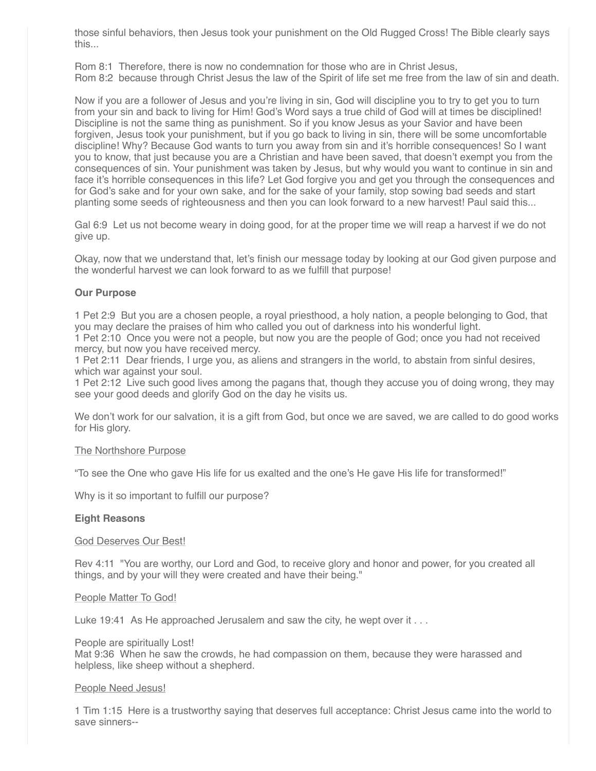those sinful behaviors, then Jesus took your punishment on the Old Rugged Cross! The Bible clearly says this...

Rom 8:1 Therefore, there is now no condemnation for those who are in Christ Jesus,

Rom 8:2 because through Christ Jesus the law of the Spirit of life set me free from the law of sin and death.

Now if you are a follower of Jesus and you're living in sin, God will discipline you to try to get you to turn from your sin and back to living for Him! God's Word says a true child of God will at times be disciplined! Discipline is not the same thing as punishment. So if you know Jesus as your Savior and have been forgiven, Jesus took your punishment, but if you go back to living in sin, there will be some uncomfortable discipline! Why? Because God wants to turn you away from sin and it's horrible consequences! So I want you to know, that just because you are a Christian and have been saved, that doesn't exempt you from the consequences of sin. Your punishment was taken by Jesus, but why would you want to continue in sin and face it's horrible consequences in this life? Let God forgive you and get you through the consequences and for God's sake and for your own sake, and for the sake of your family, stop sowing bad seeds and start planting some seeds of righteousness and then you can look forward to a new harvest! Paul said this...

Gal 6:9 Let us not become weary in doing good, for at the proper time we will reap a harvest if we do not give up.

Okay, now that we understand that, let's finish our message today by looking at our God given purpose and the wonderful harvest we can look forward to as we fulfill that purpose!

#### **Our Purpose**

1 Pet 2:9 But you are a chosen people, a royal priesthood, a holy nation, a people belonging to God, that you may declare the praises of him who called you out of darkness into his wonderful light.

1 Pet 2:10 Once you were not a people, but now you are the people of God; once you had not received mercy, but now you have received mercy.

1 Pet 2:11 Dear friends, I urge you, as aliens and strangers in the world, to abstain from sinful desires, which war against your soul.

1 Pet 2:12 Live such good lives among the pagans that, though they accuse you of doing wrong, they may see your good deeds and glorify God on the day he visits us.

We don't work for our salvation, it is a gift from God, but once we are saved, we are called to do good works for His glory.

#### The Northshore Purpose

"To see the One who gave His life for us exalted and the one's He gave His life for transformed!"

Why is it so important to fulfill our purpose?

#### **Eight Reasons**

God Deserves Our Best!

Rev 4:11 "You are worthy, our Lord and God, to receive glory and honor and power, for you created all things, and by your will they were created and have their being."

People Matter To God!

Luke 19:41 As He approached Jerusalem and saw the city, he wept over it . . .

#### People are spiritually Lost!

Mat 9:36 When he saw the crowds, he had compassion on them, because they were harassed and helpless, like sheep without a shepherd.

#### People Need Jesus!

1 Tim 1:15 Here is a trustworthy saying that deserves full acceptance: Christ Jesus came into the world to save sinners--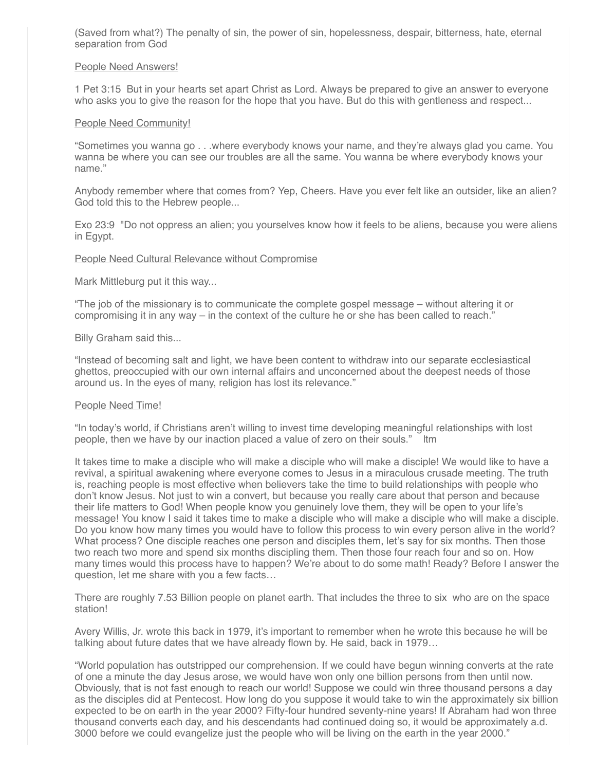(Saved from what?) The penalty of sin, the power of sin, hopelessness, despair, bitterness, hate, eternal separation from God

## People Need Answers!

1 Pet 3:15 But in your hearts set apart Christ as Lord. Always be prepared to give an answer to everyone who asks you to give the reason for the hope that you have. But do this with gentleness and respect...

#### People Need Community!

"Sometimes you wanna go . . .where everybody knows your name, and they're always glad you came. You wanna be where you can see our troubles are all the same. You wanna be where everybody knows your name."

Anybody remember where that comes from? Yep, Cheers. Have you ever felt like an outsider, like an alien? God told this to the Hebrew people...

Exo 23:9 "Do not oppress an alien; you yourselves know how it feels to be aliens, because you were aliens in Egypt.

#### People Need Cultural Relevance without Compromise

Mark Mittleburg put it this way...

"The job of the missionary is to communicate the complete gospel message – without altering it or compromising it in any way – in the context of the culture he or she has been called to reach."

Billy Graham said this...

"Instead of becoming salt and light, we have been content to withdraw into our separate ecclesiastical ghettos, preoccupied with our own internal affairs and unconcerned about the deepest needs of those around us. In the eyes of many, religion has lost its relevance."

#### People Need Time!

"In today's world, if Christians aren't willing to invest time developing meaningful relationships with lost people, then we have by our inaction placed a value of zero on their souls." ltm

It takes time to make a disciple who will make a disciple who will make a disciple! We would like to have a revival, a spiritual awakening where everyone comes to Jesus in a miraculous crusade meeting. The truth is, reaching people is most effective when believers take the time to build relationships with people who don't know Jesus. Not just to win a convert, but because you really care about that person and because their life matters to God! When people know you genuinely love them, they will be open to your life's message! You know I said it takes time to make a disciple who will make a disciple who will make a disciple. Do you know how many times you would have to follow this process to win every person alive in the world? What process? One disciple reaches one person and disciples them, let's say for six months. Then those two reach two more and spend six months discipling them. Then those four reach four and so on. How many times would this process have to happen? We're about to do some math! Ready? Before I answer the question, let me share with you a few facts…

There are roughly 7.53 Billion people on planet earth. That includes the three to six who are on the space station!

Avery Willis, Jr. wrote this back in 1979, it's important to remember when he wrote this because he will be talking about future dates that we have already flown by. He said, back in 1979…

"World population has outstripped our comprehension. If we could have begun winning converts at the rate of one a minute the day Jesus arose, we would have won only one billion persons from then until now. Obviously, that is not fast enough to reach our world! Suppose we could win three thousand persons a day as the disciples did at Pentecost. How long do you suppose it would take to win the approximately six billion expected to be on earth in the year 2000? Fifty-four hundred seventy-nine years! If Abraham had won three thousand converts each day, and his descendants had continued doing so, it would be approximately a.d. 3000 before we could evangelize just the people who will be living on the earth in the year 2000."